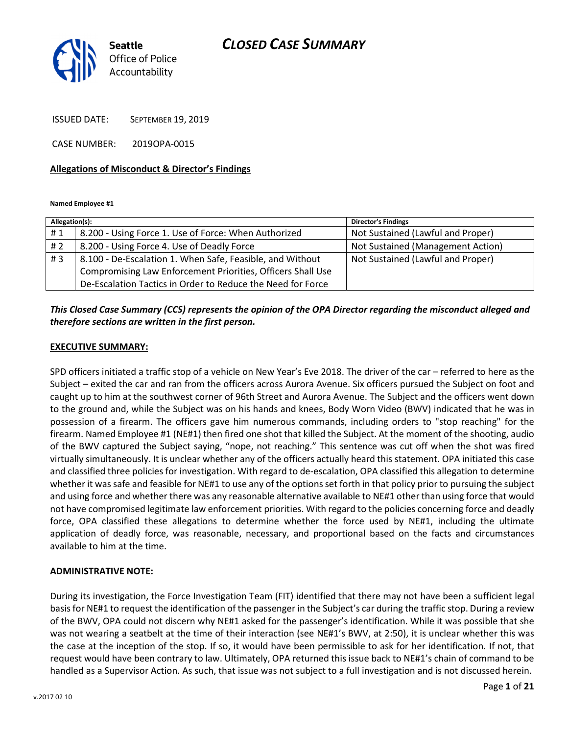

ISSUED DATE: SEPTEMBER 19, 2019

CASE NUMBER: 2019OPA-0015

#### Allegations of Misconduct & Director's Findings

Named Employee #1

| Allegation(s): |                                                             | <b>Director's Findings</b>        |
|----------------|-------------------------------------------------------------|-----------------------------------|
| #1             | 8.200 - Using Force 1. Use of Force: When Authorized        | Not Sustained (Lawful and Proper) |
| # 2            | 8.200 - Using Force 4. Use of Deadly Force                  | Not Sustained (Management Action) |
| #3             | 8.100 - De-Escalation 1. When Safe, Feasible, and Without   | Not Sustained (Lawful and Proper) |
|                | Compromising Law Enforcement Priorities, Officers Shall Use |                                   |
|                | De-Escalation Tactics in Order to Reduce the Need for Force |                                   |

This Closed Case Summary (CCS) represents the opinion of the OPA Director regarding the misconduct alleged and therefore sections are written in the first person.

### EXECUTIVE SUMMARY:

SPD officers initiated a traffic stop of a vehicle on New Year's Eve 2018. The driver of the car – referred to here as the Subject – exited the car and ran from the officers across Aurora Avenue. Six officers pursued the Subject on foot and caught up to him at the southwest corner of 96th Street and Aurora Avenue. The Subject and the officers went down to the ground and, while the Subject was on his hands and knees, Body Worn Video (BWV) indicated that he was in possession of a firearm. The officers gave him numerous commands, including orders to "stop reaching" for the firearm. Named Employee #1 (NE#1) then fired one shot that killed the Subject. At the moment of the shooting, audio of the BWV captured the Subject saying, "nope, not reaching." This sentence was cut off when the shot was fired virtually simultaneously. It is unclear whether any of the officers actually heard this statement. OPA initiated this case and classified three policies for investigation. With regard to de-escalation, OPA classified this allegation to determine whether it was safe and feasible for NE#1 to use any of the options set forth in that policy prior to pursuing the subject and using force and whether there was any reasonable alternative available to NE#1 other than using force that would not have compromised legitimate law enforcement priorities. With regard to the policies concerning force and deadly force, OPA classified these allegations to determine whether the force used by NE#1, including the ultimate application of deadly force, was reasonable, necessary, and proportional based on the facts and circumstances available to him at the time.

### ADMINISTRATIVE NOTE:

During its investigation, the Force Investigation Team (FIT) identified that there may not have been a sufficient legal basis for NE#1 to request the identification of the passenger in the Subject's car during the traffic stop. During a review of the BWV, OPA could not discern why NE#1 asked for the passenger's identification. While it was possible that she was not wearing a seatbelt at the time of their interaction (see NE#1's BWV, at 2:50), it is unclear whether this was the case at the inception of the stop. If so, it would have been permissible to ask for her identification. If not, that request would have been contrary to law. Ultimately, OPA returned this issue back to NE#1's chain of command to be handled as a Supervisor Action. As such, that issue was not subject to a full investigation and is not discussed herein.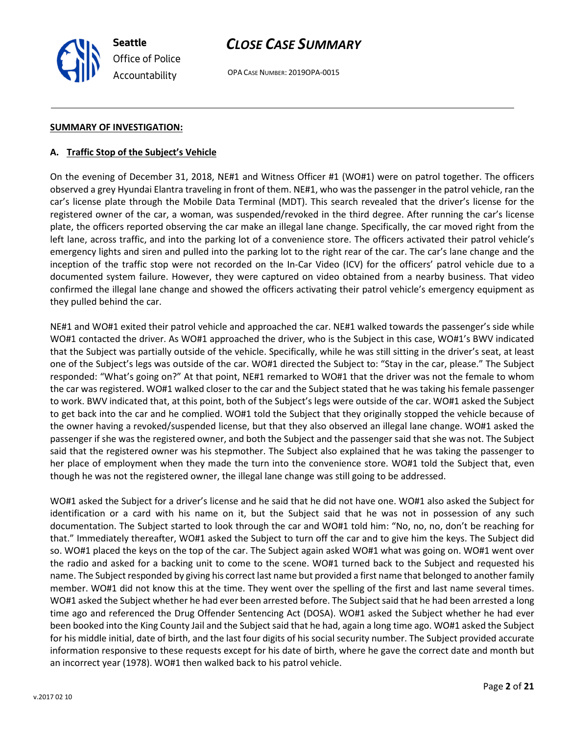OPA CASE NUMBER: 2019OPA-0015

#### SUMMARY OF INVESTIGATION:

#### A. Traffic Stop of the Subject's Vehicle

On the evening of December 31, 2018, NE#1 and Witness Officer #1 (WO#1) were on patrol together. The officers observed a grey Hyundai Elantra traveling in front of them. NE#1, who was the passenger in the patrol vehicle, ran the car's license plate through the Mobile Data Terminal (MDT). This search revealed that the driver's license for the registered owner of the car, a woman, was suspended/revoked in the third degree. After running the car's license plate, the officers reported observing the car make an illegal lane change. Specifically, the car moved right from the left lane, across traffic, and into the parking lot of a convenience store. The officers activated their patrol vehicle's emergency lights and siren and pulled into the parking lot to the right rear of the car. The car's lane change and the inception of the traffic stop were not recorded on the In-Car Video (ICV) for the officers' patrol vehicle due to a documented system failure. However, they were captured on video obtained from a nearby business. That video confirmed the illegal lane change and showed the officers activating their patrol vehicle's emergency equipment as they pulled behind the car.

NE#1 and WO#1 exited their patrol vehicle and approached the car. NE#1 walked towards the passenger's side while WO#1 contacted the driver. As WO#1 approached the driver, who is the Subject in this case, WO#1's BWV indicated that the Subject was partially outside of the vehicle. Specifically, while he was still sitting in the driver's seat, at least one of the Subject's legs was outside of the car. WO#1 directed the Subject to: "Stay in the car, please." The Subject responded: "What's going on?" At that point, NE#1 remarked to WO#1 that the driver was not the female to whom the car was registered. WO#1 walked closer to the car and the Subject stated that he was taking his female passenger to work. BWV indicated that, at this point, both of the Subject's legs were outside of the car. WO#1 asked the Subject to get back into the car and he complied. WO#1 told the Subject that they originally stopped the vehicle because of the owner having a revoked/suspended license, but that they also observed an illegal lane change. WO#1 asked the passenger if she was the registered owner, and both the Subject and the passenger said that she was not. The Subject said that the registered owner was his stepmother. The Subject also explained that he was taking the passenger to her place of employment when they made the turn into the convenience store. WO#1 told the Subject that, even though he was not the registered owner, the illegal lane change was still going to be addressed.

WO#1 asked the Subject for a driver's license and he said that he did not have one. WO#1 also asked the Subject for identification or a card with his name on it, but the Subject said that he was not in possession of any such documentation. The Subject started to look through the car and WO#1 told him: "No, no, no, don't be reaching for that." Immediately thereafter, WO#1 asked the Subject to turn off the car and to give him the keys. The Subject did so. WO#1 placed the keys on the top of the car. The Subject again asked WO#1 what was going on. WO#1 went over the radio and asked for a backing unit to come to the scene. WO#1 turned back to the Subject and requested his name. The Subject responded by giving his correct last name but provided a first name that belonged to another family member. WO#1 did not know this at the time. They went over the spelling of the first and last name several times. WO#1 asked the Subject whether he had ever been arrested before. The Subject said that he had been arrested a long time ago and referenced the Drug Offender Sentencing Act (DOSA). WO#1 asked the Subject whether he had ever been booked into the King County Jail and the Subject said that he had, again a long time ago. WO#1 asked the Subject for his middle initial, date of birth, and the last four digits of his social security number. The Subject provided accurate information responsive to these requests except for his date of birth, where he gave the correct date and month but an incorrect year (1978). WO#1 then walked back to his patrol vehicle.

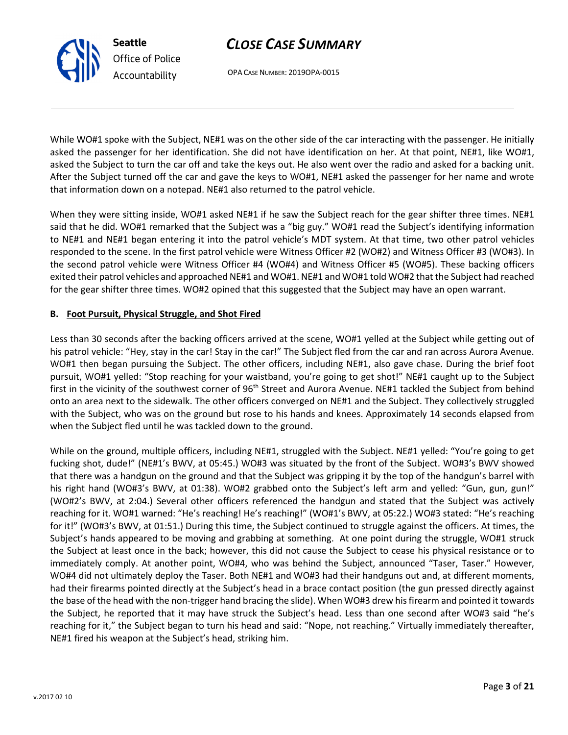OPA CASE NUMBER: 2019OPA-0015

While WO#1 spoke with the Subject, NE#1 was on the other side of the car interacting with the passenger. He initially asked the passenger for her identification. She did not have identification on her. At that point, NE#1, like WO#1, asked the Subject to turn the car off and take the keys out. He also went over the radio and asked for a backing unit. After the Subject turned off the car and gave the keys to WO#1, NE#1 asked the passenger for her name and wrote that information down on a notepad. NE#1 also returned to the patrol vehicle.

When they were sitting inside, WO#1 asked NE#1 if he saw the Subject reach for the gear shifter three times. NE#1 said that he did. WO#1 remarked that the Subject was a "big guy." WO#1 read the Subject's identifying information to NE#1 and NE#1 began entering it into the patrol vehicle's MDT system. At that time, two other patrol vehicles responded to the scene. In the first patrol vehicle were Witness Officer #2 (WO#2) and Witness Officer #3 (WO#3). In the second patrol vehicle were Witness Officer #4 (WO#4) and Witness Officer #5 (WO#5). These backing officers exited their patrol vehicles and approached NE#1 and WO#1. NE#1 and WO#1 told WO#2 that the Subject had reached for the gear shifter three times. WO#2 opined that this suggested that the Subject may have an open warrant.

### B. Foot Pursuit, Physical Struggle, and Shot Fired

Less than 30 seconds after the backing officers arrived at the scene, WO#1 yelled at the Subject while getting out of his patrol vehicle: "Hey, stay in the car! Stay in the car!" The Subject fled from the car and ran across Aurora Avenue. WO#1 then began pursuing the Subject. The other officers, including NE#1, also gave chase. During the brief foot pursuit, WO#1 yelled: "Stop reaching for your waistband, you're going to get shot!" NE#1 caught up to the Subject first in the vicinity of the southwest corner of 96<sup>th</sup> Street and Aurora Avenue. NE#1 tackled the Subject from behind onto an area next to the sidewalk. The other officers converged on NE#1 and the Subject. They collectively struggled with the Subject, who was on the ground but rose to his hands and knees. Approximately 14 seconds elapsed from when the Subject fled until he was tackled down to the ground.

While on the ground, multiple officers, including NE#1, struggled with the Subject. NE#1 yelled: "You're going to get fucking shot, dude!" (NE#1's BWV, at 05:45.) WO#3 was situated by the front of the Subject. WO#3's BWV showed that there was a handgun on the ground and that the Subject was gripping it by the top of the handgun's barrel with his right hand (WO#3's BWV, at 01:38). WO#2 grabbed onto the Subject's left arm and yelled: "Gun, gun, gun!" (WO#2's BWV, at 2:04.) Several other officers referenced the handgun and stated that the Subject was actively reaching for it. WO#1 warned: "He's reaching! He's reaching!" (WO#1's BWV, at 05:22.) WO#3 stated: "He's reaching for it!" (WO#3's BWV, at 01:51.) During this time, the Subject continued to struggle against the officers. At times, the Subject's hands appeared to be moving and grabbing at something. At one point during the struggle, WO#1 struck the Subject at least once in the back; however, this did not cause the Subject to cease his physical resistance or to immediately comply. At another point, WO#4, who was behind the Subject, announced "Taser, Taser." However, WO#4 did not ultimately deploy the Taser. Both NE#1 and WO#3 had their handguns out and, at different moments, had their firearms pointed directly at the Subject's head in a brace contact position (the gun pressed directly against the base of the head with the non-trigger hand bracing the slide). When WO#3 drew his firearm and pointed it towards the Subject, he reported that it may have struck the Subject's head. Less than one second after WO#3 said "he's reaching for it," the Subject began to turn his head and said: "Nope, not reaching." Virtually immediately thereafter, NE#1 fired his weapon at the Subject's head, striking him.



Seattle

Office of Police Accountability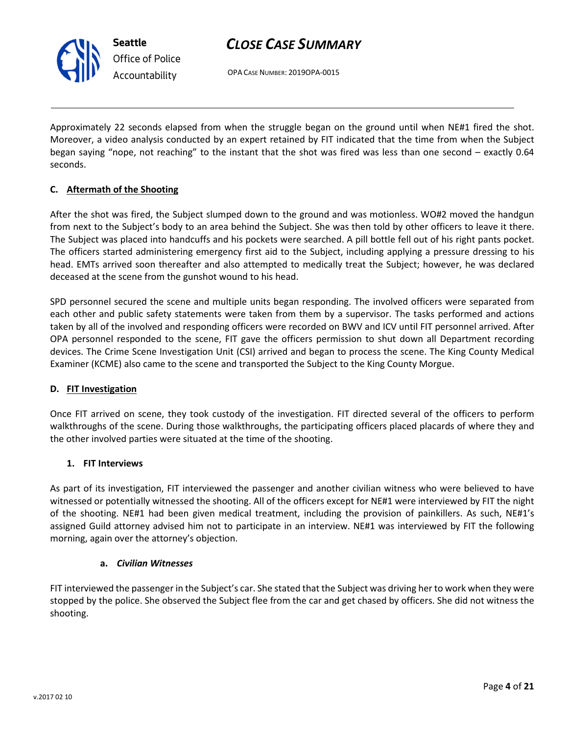

Seattle Office of Police Accountability

# CLOSE CASE SUMMARY

OPA CASE NUMBER: 2019OPA-0015

Approximately 22 seconds elapsed from when the struggle began on the ground until when NE#1 fired the shot. Moreover, a video analysis conducted by an expert retained by FIT indicated that the time from when the Subject began saying "nope, not reaching" to the instant that the shot was fired was less than one second – exactly 0.64 seconds.

### C. Aftermath of the Shooting

After the shot was fired, the Subject slumped down to the ground and was motionless. WO#2 moved the handgun from next to the Subject's body to an area behind the Subject. She was then told by other officers to leave it there. The Subject was placed into handcuffs and his pockets were searched. A pill bottle fell out of his right pants pocket. The officers started administering emergency first aid to the Subject, including applying a pressure dressing to his head. EMTs arrived soon thereafter and also attempted to medically treat the Subject; however, he was declared deceased at the scene from the gunshot wound to his head.

SPD personnel secured the scene and multiple units began responding. The involved officers were separated from each other and public safety statements were taken from them by a supervisor. The tasks performed and actions taken by all of the involved and responding officers were recorded on BWV and ICV until FIT personnel arrived. After OPA personnel responded to the scene, FIT gave the officers permission to shut down all Department recording devices. The Crime Scene Investigation Unit (CSI) arrived and began to process the scene. The King County Medical Examiner (KCME) also came to the scene and transported the Subject to the King County Morgue.

### D. FIT Investigation

Once FIT arrived on scene, they took custody of the investigation. FIT directed several of the officers to perform walkthroughs of the scene. During those walkthroughs, the participating officers placed placards of where they and the other involved parties were situated at the time of the shooting.

### 1. FIT Interviews

As part of its investigation, FIT interviewed the passenger and another civilian witness who were believed to have witnessed or potentially witnessed the shooting. All of the officers except for NE#1 were interviewed by FIT the night of the shooting. NE#1 had been given medical treatment, including the provision of painkillers. As such, NE#1's assigned Guild attorney advised him not to participate in an interview. NE#1 was interviewed by FIT the following morning, again over the attorney's objection.

### a. Civilian Witnesses

FIT interviewed the passenger in the Subject's car. She stated that the Subject was driving her to work when they were stopped by the police. She observed the Subject flee from the car and get chased by officers. She did not witness the shooting.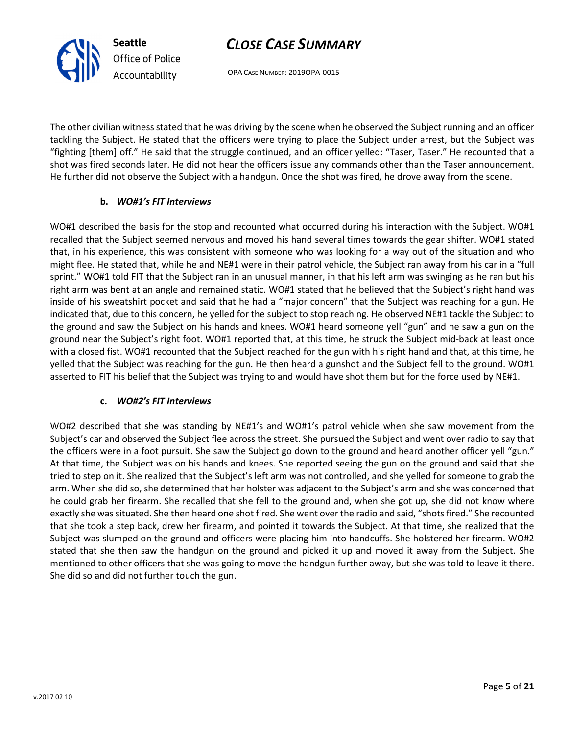OPA CASE NUMBER: 2019OPA-0015

The other civilian witness stated that he was driving by the scene when he observed the Subject running and an officer tackling the Subject. He stated that the officers were trying to place the Subject under arrest, but the Subject was "fighting [them] off." He said that the struggle continued, and an officer yelled: "Taser, Taser." He recounted that a shot was fired seconds later. He did not hear the officers issue any commands other than the Taser announcement. He further did not observe the Subject with a handgun. Once the shot was fired, he drove away from the scene.

### b. WO#1's FIT Interviews

WO#1 described the basis for the stop and recounted what occurred during his interaction with the Subject. WO#1 recalled that the Subject seemed nervous and moved his hand several times towards the gear shifter. WO#1 stated that, in his experience, this was consistent with someone who was looking for a way out of the situation and who might flee. He stated that, while he and NE#1 were in their patrol vehicle, the Subject ran away from his car in a "full sprint." WO#1 told FIT that the Subject ran in an unusual manner, in that his left arm was swinging as he ran but his right arm was bent at an angle and remained static. WO#1 stated that he believed that the Subject's right hand was inside of his sweatshirt pocket and said that he had a "major concern" that the Subject was reaching for a gun. He indicated that, due to this concern, he yelled for the subject to stop reaching. He observed NE#1 tackle the Subject to the ground and saw the Subject on his hands and knees. WO#1 heard someone yell "gun" and he saw a gun on the ground near the Subject's right foot. WO#1 reported that, at this time, he struck the Subject mid-back at least once with a closed fist. WO#1 recounted that the Subject reached for the gun with his right hand and that, at this time, he yelled that the Subject was reaching for the gun. He then heard a gunshot and the Subject fell to the ground. WO#1 asserted to FIT his belief that the Subject was trying to and would have shot them but for the force used by NE#1.

### c. WO#2's FIT Interviews

WO#2 described that she was standing by NE#1's and WO#1's patrol vehicle when she saw movement from the Subject's car and observed the Subject flee across the street. She pursued the Subject and went over radio to say that the officers were in a foot pursuit. She saw the Subject go down to the ground and heard another officer yell "gun." At that time, the Subject was on his hands and knees. She reported seeing the gun on the ground and said that she tried to step on it. She realized that the Subject's left arm was not controlled, and she yelled for someone to grab the arm. When she did so, she determined that her holster was adjacent to the Subject's arm and she was concerned that he could grab her firearm. She recalled that she fell to the ground and, when she got up, she did not know where exactly she was situated. She then heard one shot fired. She went over the radio and said, "shots fired." She recounted that she took a step back, drew her firearm, and pointed it towards the Subject. At that time, she realized that the Subject was slumped on the ground and officers were placing him into handcuffs. She holstered her firearm. WO#2 stated that she then saw the handgun on the ground and picked it up and moved it away from the Subject. She mentioned to other officers that she was going to move the handgun further away, but she was told to leave it there. She did so and did not further touch the gun.

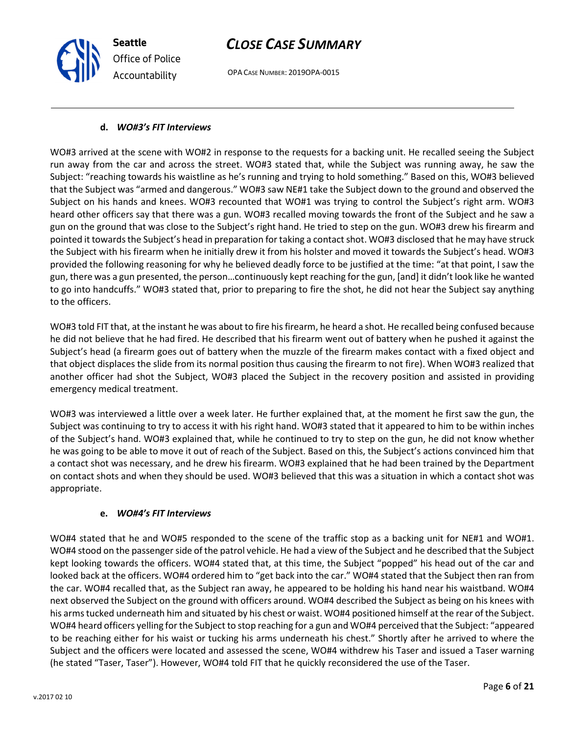OPA CASE NUMBER: 2019OPA-0015

### d. WO#3's FIT Interviews

Seattle

Office of Police Accountability

WO#3 arrived at the scene with WO#2 in response to the requests for a backing unit. He recalled seeing the Subject run away from the car and across the street. WO#3 stated that, while the Subject was running away, he saw the Subject: "reaching towards his waistline as he's running and trying to hold something." Based on this, WO#3 believed that the Subject was "armed and dangerous." WO#3 saw NE#1 take the Subject down to the ground and observed the Subject on his hands and knees. WO#3 recounted that WO#1 was trying to control the Subject's right arm. WO#3 heard other officers say that there was a gun. WO#3 recalled moving towards the front of the Subject and he saw a gun on the ground that was close to the Subject's right hand. He tried to step on the gun. WO#3 drew his firearm and pointed it towards the Subject's head in preparation for taking a contact shot. WO#3 disclosed that he may have struck the Subject with his firearm when he initially drew it from his holster and moved it towards the Subject's head. WO#3 provided the following reasoning for why he believed deadly force to be justified at the time: "at that point, I saw the gun, there was a gun presented, the person…continuously kept reaching for the gun, [and] it didn't look like he wanted to go into handcuffs." WO#3 stated that, prior to preparing to fire the shot, he did not hear the Subject say anything to the officers.

WO#3 told FIT that, at the instant he was about to fire his firearm, he heard a shot. He recalled being confused because he did not believe that he had fired. He described that his firearm went out of battery when he pushed it against the Subject's head (a firearm goes out of battery when the muzzle of the firearm makes contact with a fixed object and that object displaces the slide from its normal position thus causing the firearm to not fire). When WO#3 realized that another officer had shot the Subject, WO#3 placed the Subject in the recovery position and assisted in providing emergency medical treatment.

WO#3 was interviewed a little over a week later. He further explained that, at the moment he first saw the gun, the Subject was continuing to try to access it with his right hand. WO#3 stated that it appeared to him to be within inches of the Subject's hand. WO#3 explained that, while he continued to try to step on the gun, he did not know whether he was going to be able to move it out of reach of the Subject. Based on this, the Subject's actions convinced him that a contact shot was necessary, and he drew his firearm. WO#3 explained that he had been trained by the Department on contact shots and when they should be used. WO#3 believed that this was a situation in which a contact shot was appropriate.

### e. WO#4's FIT Interviews

WO#4 stated that he and WO#5 responded to the scene of the traffic stop as a backing unit for NE#1 and WO#1. WO#4 stood on the passenger side of the patrol vehicle. He had a view of the Subject and he described that the Subject kept looking towards the officers. WO#4 stated that, at this time, the Subject "popped" his head out of the car and looked back at the officers. WO#4 ordered him to "get back into the car." WO#4 stated that the Subject then ran from the car. WO#4 recalled that, as the Subject ran away, he appeared to be holding his hand near his waistband. WO#4 next observed the Subject on the ground with officers around. WO#4 described the Subject as being on his knees with his arms tucked underneath him and situated by his chest or waist. WO#4 positioned himself at the rear of the Subject. WO#4 heard officers yelling for the Subject to stop reaching for a gun and WO#4 perceived that the Subject: "appeared to be reaching either for his waist or tucking his arms underneath his chest." Shortly after he arrived to where the Subject and the officers were located and assessed the scene, WO#4 withdrew his Taser and issued a Taser warning (he stated "Taser, Taser"). However, WO#4 told FIT that he quickly reconsidered the use of the Taser.

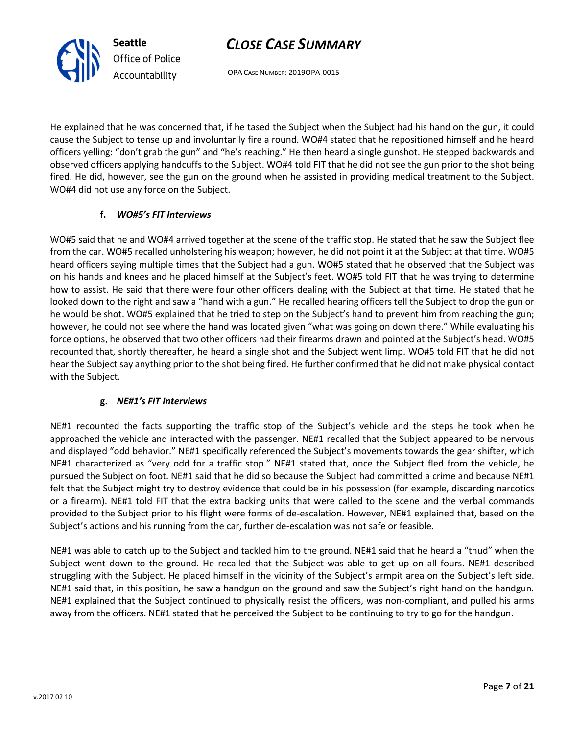OPA CASE NUMBER: 2019OPA-0015

He explained that he was concerned that, if he tased the Subject when the Subject had his hand on the gun, it could cause the Subject to tense up and involuntarily fire a round. WO#4 stated that he repositioned himself and he heard officers yelling: "don't grab the gun" and "he's reaching." He then heard a single gunshot. He stepped backwards and observed officers applying handcuffs to the Subject. WO#4 told FIT that he did not see the gun prior to the shot being fired. He did, however, see the gun on the ground when he assisted in providing medical treatment to the Subject. WO#4 did not use any force on the Subject.

### f. WO#5's FIT Interviews

WO#5 said that he and WO#4 arrived together at the scene of the traffic stop. He stated that he saw the Subject flee from the car. WO#5 recalled unholstering his weapon; however, he did not point it at the Subject at that time. WO#5 heard officers saying multiple times that the Subject had a gun. WO#5 stated that he observed that the Subject was on his hands and knees and he placed himself at the Subject's feet. WO#5 told FIT that he was trying to determine how to assist. He said that there were four other officers dealing with the Subject at that time. He stated that he looked down to the right and saw a "hand with a gun." He recalled hearing officers tell the Subject to drop the gun or he would be shot. WO#5 explained that he tried to step on the Subject's hand to prevent him from reaching the gun; however, he could not see where the hand was located given "what was going on down there." While evaluating his force options, he observed that two other officers had their firearms drawn and pointed at the Subject's head. WO#5 recounted that, shortly thereafter, he heard a single shot and the Subject went limp. WO#5 told FIT that he did not hear the Subject say anything prior to the shot being fired. He further confirmed that he did not make physical contact with the Subject.

### g. NE#1's FIT Interviews

NE#1 recounted the facts supporting the traffic stop of the Subject's vehicle and the steps he took when he approached the vehicle and interacted with the passenger. NE#1 recalled that the Subject appeared to be nervous and displayed "odd behavior." NE#1 specifically referenced the Subject's movements towards the gear shifter, which NE#1 characterized as "very odd for a traffic stop." NE#1 stated that, once the Subject fled from the vehicle, he pursued the Subject on foot. NE#1 said that he did so because the Subject had committed a crime and because NE#1 felt that the Subject might try to destroy evidence that could be in his possession (for example, discarding narcotics or a firearm). NE#1 told FIT that the extra backing units that were called to the scene and the verbal commands provided to the Subject prior to his flight were forms of de-escalation. However, NE#1 explained that, based on the Subject's actions and his running from the car, further de-escalation was not safe or feasible.

NE#1 was able to catch up to the Subject and tackled him to the ground. NE#1 said that he heard a "thud" when the Subject went down to the ground. He recalled that the Subject was able to get up on all fours. NE#1 described struggling with the Subject. He placed himself in the vicinity of the Subject's armpit area on the Subject's left side. NE#1 said that, in this position, he saw a handgun on the ground and saw the Subject's right hand on the handgun. NE#1 explained that the Subject continued to physically resist the officers, was non-compliant, and pulled his arms away from the officers. NE#1 stated that he perceived the Subject to be continuing to try to go for the handgun.

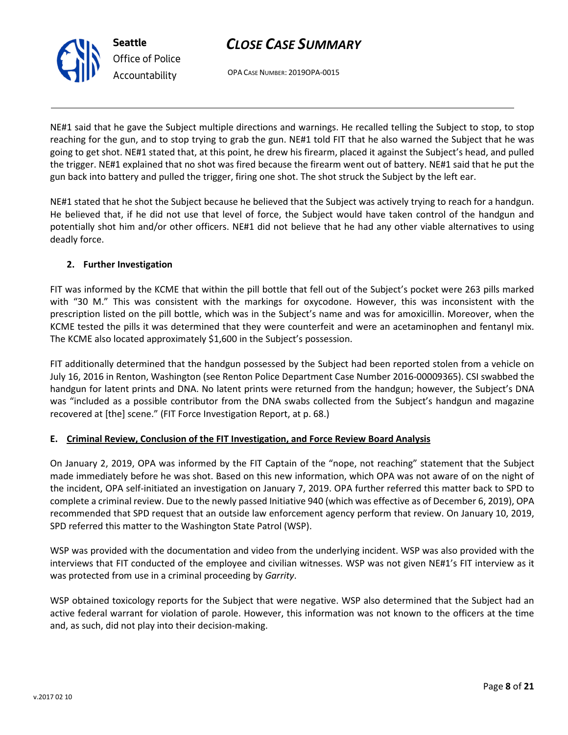OPA CASE NUMBER: 2019OPA-0015

NE#1 said that he gave the Subject multiple directions and warnings. He recalled telling the Subject to stop, to stop reaching for the gun, and to stop trying to grab the gun. NE#1 told FIT that he also warned the Subject that he was going to get shot. NE#1 stated that, at this point, he drew his firearm, placed it against the Subject's head, and pulled the trigger. NE#1 explained that no shot was fired because the firearm went out of battery. NE#1 said that he put the gun back into battery and pulled the trigger, firing one shot. The shot struck the Subject by the left ear.

NE#1 stated that he shot the Subject because he believed that the Subject was actively trying to reach for a handgun. He believed that, if he did not use that level of force, the Subject would have taken control of the handgun and potentially shot him and/or other officers. NE#1 did not believe that he had any other viable alternatives to using deadly force.

### 2. Further Investigation

FIT was informed by the KCME that within the pill bottle that fell out of the Subject's pocket were 263 pills marked with "30 M." This was consistent with the markings for oxycodone. However, this was inconsistent with the prescription listed on the pill bottle, which was in the Subject's name and was for amoxicillin. Moreover, when the KCME tested the pills it was determined that they were counterfeit and were an acetaminophen and fentanyl mix. The KCME also located approximately \$1,600 in the Subject's possession.

FIT additionally determined that the handgun possessed by the Subject had been reported stolen from a vehicle on July 16, 2016 in Renton, Washington (see Renton Police Department Case Number 2016-00009365). CSI swabbed the handgun for latent prints and DNA. No latent prints were returned from the handgun; however, the Subject's DNA was "included as a possible contributor from the DNA swabs collected from the Subject's handgun and magazine recovered at [the] scene." (FIT Force Investigation Report, at p. 68.)

### E. Criminal Review, Conclusion of the FIT Investigation, and Force Review Board Analysis

On January 2, 2019, OPA was informed by the FIT Captain of the "nope, not reaching" statement that the Subject made immediately before he was shot. Based on this new information, which OPA was not aware of on the night of the incident, OPA self-initiated an investigation on January 7, 2019. OPA further referred this matter back to SPD to complete a criminal review. Due to the newly passed Initiative 940 (which was effective as of December 6, 2019), OPA recommended that SPD request that an outside law enforcement agency perform that review. On January 10, 2019, SPD referred this matter to the Washington State Patrol (WSP).

WSP was provided with the documentation and video from the underlying incident. WSP was also provided with the interviews that FIT conducted of the employee and civilian witnesses. WSP was not given NE#1's FIT interview as it was protected from use in a criminal proceeding by Garrity.

WSP obtained toxicology reports for the Subject that were negative. WSP also determined that the Subject had an active federal warrant for violation of parole. However, this information was not known to the officers at the time and, as such, did not play into their decision-making.

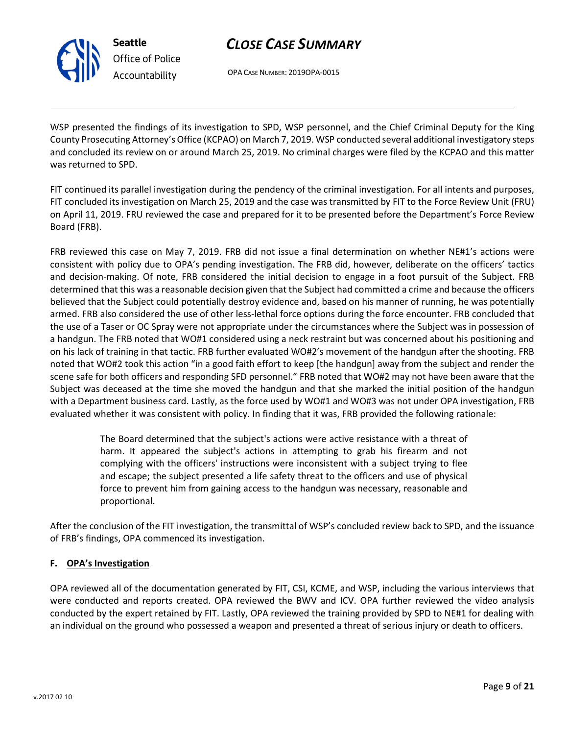

Seattle Office of Police Accountability

# CLOSE CASE SUMMARY

OPA CASE NUMBER: 2019OPA-0015

WSP presented the findings of its investigation to SPD, WSP personnel, and the Chief Criminal Deputy for the King County Prosecuting Attorney's Office (KCPAO) on March 7, 2019. WSP conducted several additional investigatory steps and concluded its review on or around March 25, 2019. No criminal charges were filed by the KCPAO and this matter was returned to SPD.

FIT continued its parallel investigation during the pendency of the criminal investigation. For all intents and purposes, FIT concluded its investigation on March 25, 2019 and the case was transmitted by FIT to the Force Review Unit (FRU) on April 11, 2019. FRU reviewed the case and prepared for it to be presented before the Department's Force Review Board (FRB).

FRB reviewed this case on May 7, 2019. FRB did not issue a final determination on whether NE#1's actions were consistent with policy due to OPA's pending investigation. The FRB did, however, deliberate on the officers' tactics and decision-making. Of note, FRB considered the initial decision to engage in a foot pursuit of the Subject. FRB determined that this was a reasonable decision given that the Subject had committed a crime and because the officers believed that the Subject could potentially destroy evidence and, based on his manner of running, he was potentially armed. FRB also considered the use of other less-lethal force options during the force encounter. FRB concluded that the use of a Taser or OC Spray were not appropriate under the circumstances where the Subject was in possession of a handgun. The FRB noted that WO#1 considered using a neck restraint but was concerned about his positioning and on his lack of training in that tactic. FRB further evaluated WO#2's movement of the handgun after the shooting. FRB noted that WO#2 took this action "in a good faith effort to keep [the handgun] away from the subject and render the scene safe for both officers and responding SFD personnel." FRB noted that WO#2 may not have been aware that the Subject was deceased at the time she moved the handgun and that she marked the initial position of the handgun with a Department business card. Lastly, as the force used by WO#1 and WO#3 was not under OPA investigation, FRB evaluated whether it was consistent with policy. In finding that it was, FRB provided the following rationale:

> The Board determined that the subject's actions were active resistance with a threat of harm. It appeared the subject's actions in attempting to grab his firearm and not complying with the officers' instructions were inconsistent with a subject trying to flee and escape; the subject presented a life safety threat to the officers and use of physical force to prevent him from gaining access to the handgun was necessary, reasonable and proportional.

After the conclusion of the FIT investigation, the transmittal of WSP's concluded review back to SPD, and the issuance of FRB's findings, OPA commenced its investigation.

### F. OPA's Investigation

OPA reviewed all of the documentation generated by FIT, CSI, KCME, and WSP, including the various interviews that were conducted and reports created. OPA reviewed the BWV and ICV. OPA further reviewed the video analysis conducted by the expert retained by FIT. Lastly, OPA reviewed the training provided by SPD to NE#1 for dealing with an individual on the ground who possessed a weapon and presented a threat of serious injury or death to officers.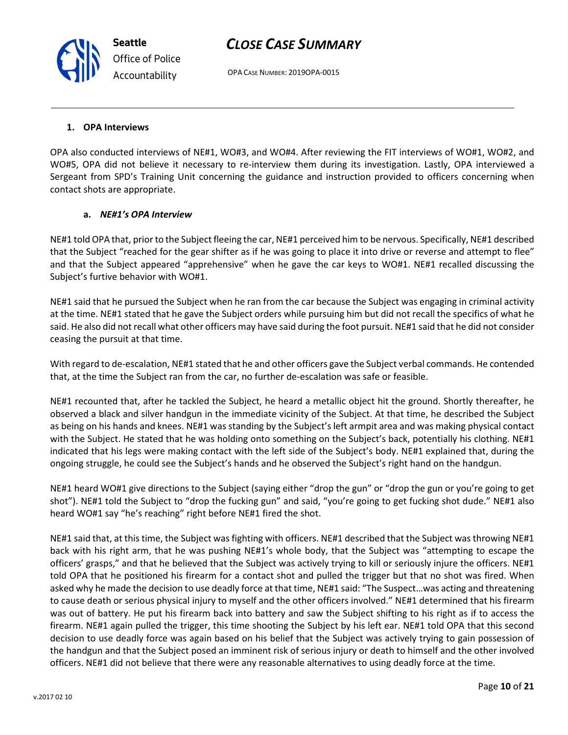OPA CASE NUMBER: 2019OPA-0015

#### 1. OPA Interviews

OPA also conducted interviews of NE#1, WO#3, and WO#4. After reviewing the FIT interviews of WO#1, WO#2, and WO#5, OPA did not believe it necessary to re-interview them during its investigation. Lastly, OPA interviewed a Sergeant from SPD's Training Unit concerning the guidance and instruction provided to officers concerning when contact shots are appropriate.

#### a. NE#1's OPA Interview

NE#1 told OPA that, prior to the Subject fleeing the car, NE#1 perceived him to be nervous. Specifically, NE#1 described that the Subject "reached for the gear shifter as if he was going to place it into drive or reverse and attempt to flee" and that the Subject appeared "apprehensive" when he gave the car keys to WO#1. NE#1 recalled discussing the Subject's furtive behavior with WO#1.

NE#1 said that he pursued the Subject when he ran from the car because the Subject was engaging in criminal activity at the time. NE#1 stated that he gave the Subject orders while pursuing him but did not recall the specifics of what he said. He also did not recall what other officers may have said during the foot pursuit. NE#1 said that he did not consider ceasing the pursuit at that time.

With regard to de-escalation, NE#1 stated that he and other officers gave the Subject verbal commands. He contended that, at the time the Subject ran from the car, no further de-escalation was safe or feasible.

NE#1 recounted that, after he tackled the Subject, he heard a metallic object hit the ground. Shortly thereafter, he observed a black and silver handgun in the immediate vicinity of the Subject. At that time, he described the Subject as being on his hands and knees. NE#1 was standing by the Subject's left armpit area and was making physical contact with the Subject. He stated that he was holding onto something on the Subject's back, potentially his clothing. NE#1 indicated that his legs were making contact with the left side of the Subject's body. NE#1 explained that, during the ongoing struggle, he could see the Subject's hands and he observed the Subject's right hand on the handgun.

NE#1 heard WO#1 give directions to the Subject (saying either "drop the gun" or "drop the gun or you're going to get shot"). NE#1 told the Subject to "drop the fucking gun" and said, "you're going to get fucking shot dude." NE#1 also heard WO#1 say "he's reaching" right before NE#1 fired the shot.

NE#1 said that, at this time, the Subject was fighting with officers. NE#1 described that the Subject was throwing NE#1 back with his right arm, that he was pushing NE#1's whole body, that the Subject was "attempting to escape the officers' grasps," and that he believed that the Subject was actively trying to kill or seriously injure the officers. NE#1 told OPA that he positioned his firearm for a contact shot and pulled the trigger but that no shot was fired. When asked why he made the decision to use deadly force at that time, NE#1 said: "The Suspect…was acting and threatening to cause death or serious physical injury to myself and the other officers involved." NE#1 determined that his firearm was out of battery. He put his firearm back into battery and saw the Subject shifting to his right as if to access the firearm. NE#1 again pulled the trigger, this time shooting the Subject by his left ear. NE#1 told OPA that this second decision to use deadly force was again based on his belief that the Subject was actively trying to gain possession of the handgun and that the Subject posed an imminent risk of serious injury or death to himself and the other involved officers. NE#1 did not believe that there were any reasonable alternatives to using deadly force at the time.

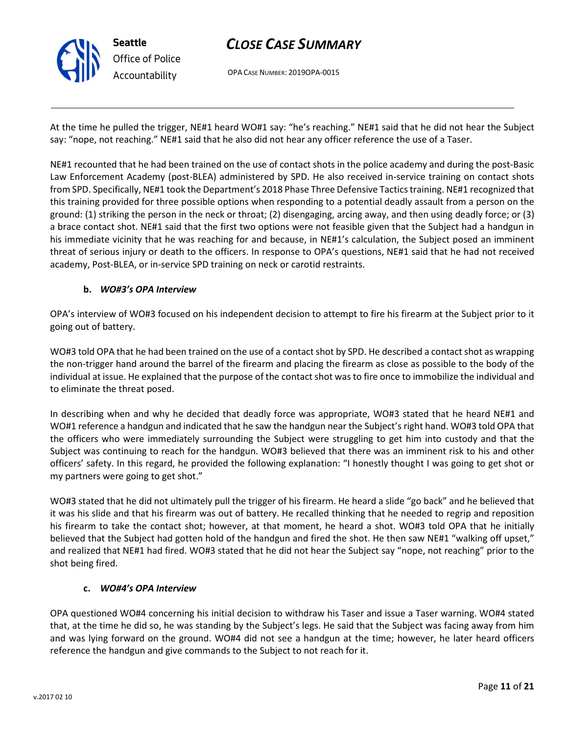

OPA CASE NUMBER: 2019OPA-0015

At the time he pulled the trigger, NE#1 heard WO#1 say: "he's reaching." NE#1 said that he did not hear the Subject say: "nope, not reaching." NE#1 said that he also did not hear any officer reference the use of a Taser.

NE#1 recounted that he had been trained on the use of contact shots in the police academy and during the post-Basic Law Enforcement Academy (post-BLEA) administered by SPD. He also received in-service training on contact shots from SPD. Specifically, NE#1 took the Department's 2018 Phase Three Defensive Tactics training. NE#1 recognized that this training provided for three possible options when responding to a potential deadly assault from a person on the ground: (1) striking the person in the neck or throat; (2) disengaging, arcing away, and then using deadly force; or (3) a brace contact shot. NE#1 said that the first two options were not feasible given that the Subject had a handgun in his immediate vicinity that he was reaching for and because, in NE#1's calculation, the Subject posed an imminent threat of serious injury or death to the officers. In response to OPA's questions, NE#1 said that he had not received academy, Post-BLEA, or in-service SPD training on neck or carotid restraints.

### b. WO#3's OPA Interview

OPA's interview of WO#3 focused on his independent decision to attempt to fire his firearm at the Subject prior to it going out of battery.

WO#3 told OPA that he had been trained on the use of a contact shot by SPD. He described a contact shot as wrapping the non-trigger hand around the barrel of the firearm and placing the firearm as close as possible to the body of the individual at issue. He explained that the purpose of the contact shot was to fire once to immobilize the individual and to eliminate the threat posed.

In describing when and why he decided that deadly force was appropriate, WO#3 stated that he heard NE#1 and WO#1 reference a handgun and indicated that he saw the handgun near the Subject's right hand. WO#3 told OPA that the officers who were immediately surrounding the Subject were struggling to get him into custody and that the Subject was continuing to reach for the handgun. WO#3 believed that there was an imminent risk to his and other officers' safety. In this regard, he provided the following explanation: "I honestly thought I was going to get shot or my partners were going to get shot."

WO#3 stated that he did not ultimately pull the trigger of his firearm. He heard a slide "go back" and he believed that it was his slide and that his firearm was out of battery. He recalled thinking that he needed to regrip and reposition his firearm to take the contact shot; however, at that moment, he heard a shot. WO#3 told OPA that he initially believed that the Subject had gotten hold of the handgun and fired the shot. He then saw NE#1 "walking off upset," and realized that NE#1 had fired. WO#3 stated that he did not hear the Subject say "nope, not reaching" prior to the shot being fired.

### c. WO#4's OPA Interview

OPA questioned WO#4 concerning his initial decision to withdraw his Taser and issue a Taser warning. WO#4 stated that, at the time he did so, he was standing by the Subject's legs. He said that the Subject was facing away from him and was lying forward on the ground. WO#4 did not see a handgun at the time; however, he later heard officers reference the handgun and give commands to the Subject to not reach for it.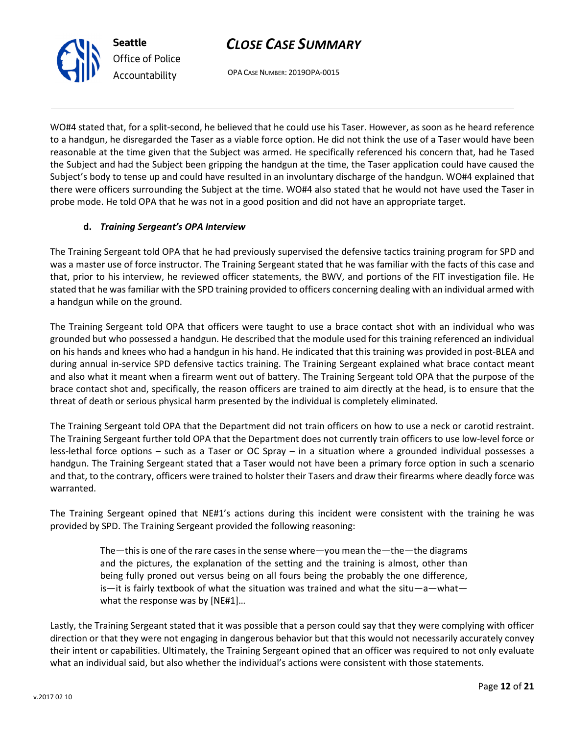Lastly, the Training Sergeant stated that it was possible that a person could say that they were complying with officer direction or that they were not engaging in dangerous behavior but that this would not necessarily accurately convey their intent or capabilities. Ultimately, the Training Sergeant opined that an officer was required to not only evaluate what an individual said, but also whether the individual's actions were consistent with those statements.

CLOSE CASE SUMMARY

OPA CASE NUMBER: 2019OPA-0015

WO#4 stated that, for a split-second, he believed that he could use his Taser. However, as soon as he heard reference to a handgun, he disregarded the Taser as a viable force option. He did not think the use of a Taser would have been reasonable at the time given that the Subject was armed. He specifically referenced his concern that, had he Tased the Subject and had the Subject been gripping the handgun at the time, the Taser application could have caused the Subject's body to tense up and could have resulted in an involuntary discharge of the handgun. WO#4 explained that there were officers surrounding the Subject at the time. WO#4 also stated that he would not have used the Taser in probe mode. He told OPA that he was not in a good position and did not have an appropriate target.

### d. Training Sergeant's OPA Interview

Seattle

Office of Police Accountability

The Training Sergeant told OPA that he had previously supervised the defensive tactics training program for SPD and was a master use of force instructor. The Training Sergeant stated that he was familiar with the facts of this case and that, prior to his interview, he reviewed officer statements, the BWV, and portions of the FIT investigation file. He stated that he was familiar with the SPD training provided to officers concerning dealing with an individual armed with a handgun while on the ground.

The Training Sergeant told OPA that officers were taught to use a brace contact shot with an individual who was grounded but who possessed a handgun. He described that the module used for this training referenced an individual on his hands and knees who had a handgun in his hand. He indicated that this training was provided in post-BLEA and during annual in-service SPD defensive tactics training. The Training Sergeant explained what brace contact meant and also what it meant when a firearm went out of battery. The Training Sergeant told OPA that the purpose of the brace contact shot and, specifically, the reason officers are trained to aim directly at the head, is to ensure that the threat of death or serious physical harm presented by the individual is completely eliminated.

The Training Sergeant told OPA that the Department did not train officers on how to use a neck or carotid restraint. The Training Sergeant further told OPA that the Department does not currently train officers to use low-level force or less-lethal force options – such as a Taser or OC Spray – in a situation where a grounded individual possesses a handgun. The Training Sergeant stated that a Taser would not have been a primary force option in such a scenario and that, to the contrary, officers were trained to holster their Tasers and draw their firearms where deadly force was warranted.

The Training Sergeant opined that NE#1's actions during this incident were consistent with the training he was provided by SPD. The Training Sergeant provided the following reasoning:

The—this is one of the rare cases in the sense where—you mean the—the—the diagrams and the pictures, the explanation of the setting and the training is almost, other than being fully proned out versus being on all fours being the probably the one difference, is—it is fairly textbook of what the situation was trained and what the situ—a—what—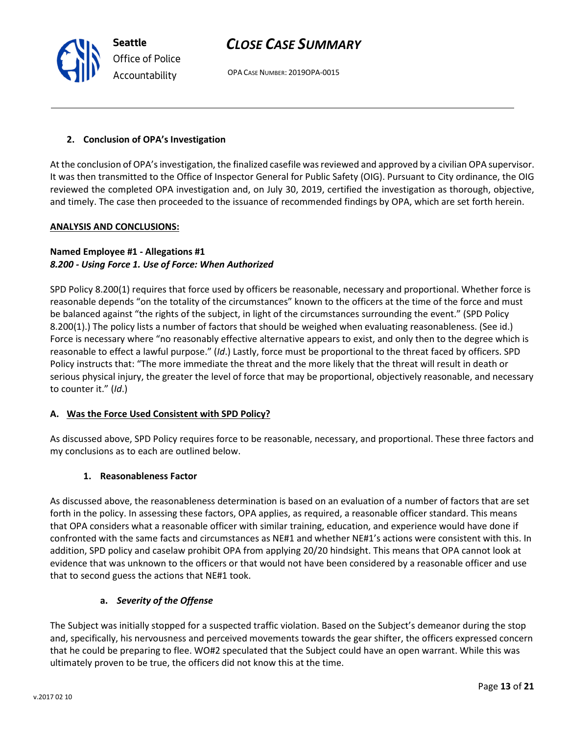OPA CASE NUMBER: 2019OPA-0015

### 2. Conclusion of OPA's Investigation

At the conclusion of OPA's investigation, the finalized casefile was reviewed and approved by a civilian OPA supervisor. It was then transmitted to the Office of Inspector General for Public Safety (OIG). Pursuant to City ordinance, the OIG reviewed the completed OPA investigation and, on July 30, 2019, certified the investigation as thorough, objective, and timely. The case then proceeded to the issuance of recommended findings by OPA, which are set forth herein.

### ANALYSIS AND CONCLUSIONS:

### Named Employee #1 - Allegations #1 8.200 - Using Force 1. Use of Force: When Authorized

SPD Policy 8.200(1) requires that force used by officers be reasonable, necessary and proportional. Whether force is reasonable depends "on the totality of the circumstances" known to the officers at the time of the force and must be balanced against "the rights of the subject, in light of the circumstances surrounding the event." (SPD Policy 8.200(1).) The policy lists a number of factors that should be weighed when evaluating reasonableness. (See id.) Force is necessary where "no reasonably effective alternative appears to exist, and only then to the degree which is reasonable to effect a lawful purpose." (Id.) Lastly, force must be proportional to the threat faced by officers. SPD Policy instructs that: "The more immediate the threat and the more likely that the threat will result in death or serious physical injury, the greater the level of force that may be proportional, objectively reasonable, and necessary to counter it." (Id.)

### A. Was the Force Used Consistent with SPD Policy?

As discussed above, SPD Policy requires force to be reasonable, necessary, and proportional. These three factors and my conclusions as to each are outlined below.

### 1. Reasonableness Factor

As discussed above, the reasonableness determination is based on an evaluation of a number of factors that are set forth in the policy. In assessing these factors, OPA applies, as required, a reasonable officer standard. This means that OPA considers what a reasonable officer with similar training, education, and experience would have done if confronted with the same facts and circumstances as NE#1 and whether NE#1's actions were consistent with this. In addition, SPD policy and caselaw prohibit OPA from applying 20/20 hindsight. This means that OPA cannot look at evidence that was unknown to the officers or that would not have been considered by a reasonable officer and use that to second guess the actions that NE#1 took.

### a. Severity of the Offense

The Subject was initially stopped for a suspected traffic violation. Based on the Subject's demeanor during the stop and, specifically, his nervousness and perceived movements towards the gear shifter, the officers expressed concern that he could be preparing to flee. WO#2 speculated that the Subject could have an open warrant. While this was ultimately proven to be true, the officers did not know this at the time.

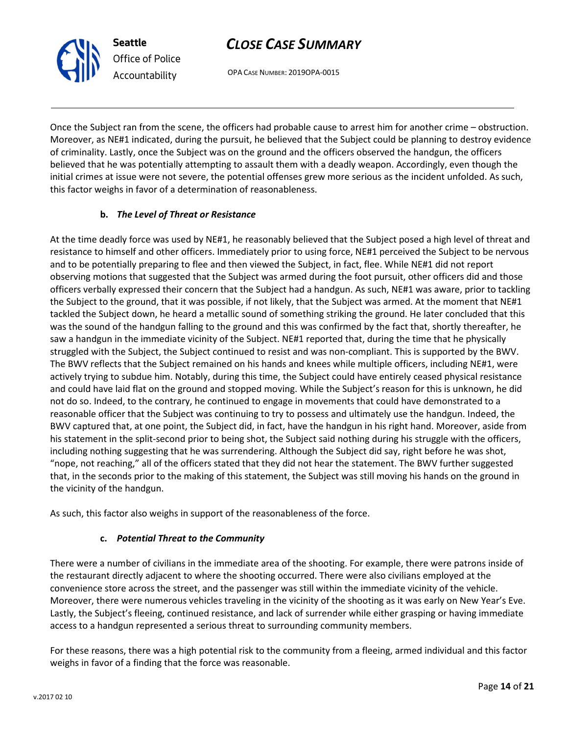OPA CASE NUMBER: 2019OPA-0015

Once the Subject ran from the scene, the officers had probable cause to arrest him for another crime – obstruction. Moreover, as NE#1 indicated, during the pursuit, he believed that the Subject could be planning to destroy evidence of criminality. Lastly, once the Subject was on the ground and the officers observed the handgun, the officers believed that he was potentially attempting to assault them with a deadly weapon. Accordingly, even though the initial crimes at issue were not severe, the potential offenses grew more serious as the incident unfolded. As such, this factor weighs in favor of a determination of reasonableness.

### b. The Level of Threat or Resistance

At the time deadly force was used by NE#1, he reasonably believed that the Subject posed a high level of threat and resistance to himself and other officers. Immediately prior to using force, NE#1 perceived the Subject to be nervous and to be potentially preparing to flee and then viewed the Subject, in fact, flee. While NE#1 did not report observing motions that suggested that the Subject was armed during the foot pursuit, other officers did and those officers verbally expressed their concern that the Subject had a handgun. As such, NE#1 was aware, prior to tackling the Subject to the ground, that it was possible, if not likely, that the Subject was armed. At the moment that NE#1 tackled the Subject down, he heard a metallic sound of something striking the ground. He later concluded that this was the sound of the handgun falling to the ground and this was confirmed by the fact that, shortly thereafter, he saw a handgun in the immediate vicinity of the Subject. NE#1 reported that, during the time that he physically struggled with the Subject, the Subject continued to resist and was non-compliant. This is supported by the BWV. The BWV reflects that the Subject remained on his hands and knees while multiple officers, including NE#1, were actively trying to subdue him. Notably, during this time, the Subject could have entirely ceased physical resistance and could have laid flat on the ground and stopped moving. While the Subject's reason for this is unknown, he did not do so. Indeed, to the contrary, he continued to engage in movements that could have demonstrated to a reasonable officer that the Subject was continuing to try to possess and ultimately use the handgun. Indeed, the BWV captured that, at one point, the Subject did, in fact, have the handgun in his right hand. Moreover, aside from his statement in the split-second prior to being shot, the Subject said nothing during his struggle with the officers, including nothing suggesting that he was surrendering. Although the Subject did say, right before he was shot, "nope, not reaching," all of the officers stated that they did not hear the statement. The BWV further suggested that, in the seconds prior to the making of this statement, the Subject was still moving his hands on the ground in the vicinity of the handgun.

As such, this factor also weighs in support of the reasonableness of the force.

### c. Potential Threat to the Community

There were a number of civilians in the immediate area of the shooting. For example, there were patrons inside of the restaurant directly adjacent to where the shooting occurred. There were also civilians employed at the convenience store across the street, and the passenger was still within the immediate vicinity of the vehicle. Moreover, there were numerous vehicles traveling in the vicinity of the shooting as it was early on New Year's Eve. Lastly, the Subject's fleeing, continued resistance, and lack of surrender while either grasping or having immediate access to a handgun represented a serious threat to surrounding community members.

For these reasons, there was a high potential risk to the community from a fleeing, armed individual and this factor weighs in favor of a finding that the force was reasonable.

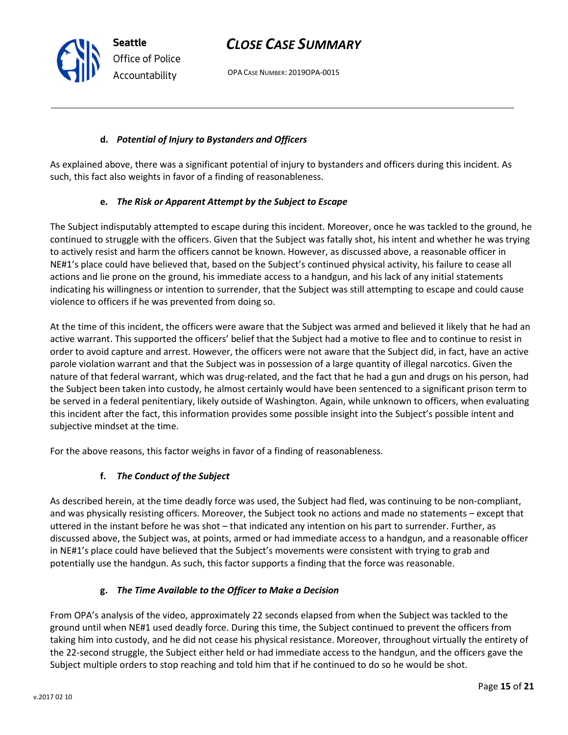OPA CASE NUMBER: 2019OPA-0015

#### d. Potential of Injury to Bystanders and Officers

As explained above, there was a significant potential of injury to bystanders and officers during this incident. As such, this fact also weights in favor of a finding of reasonableness.

### e. The Risk or Apparent Attempt by the Subject to Escape

The Subject indisputably attempted to escape during this incident. Moreover, once he was tackled to the ground, he continued to struggle with the officers. Given that the Subject was fatally shot, his intent and whether he was trying to actively resist and harm the officers cannot be known. However, as discussed above, a reasonable officer in NE#1's place could have believed that, based on the Subject's continued physical activity, his failure to cease all actions and lie prone on the ground, his immediate access to a handgun, and his lack of any initial statements indicating his willingness or intention to surrender, that the Subject was still attempting to escape and could cause violence to officers if he was prevented from doing so.

At the time of this incident, the officers were aware that the Subject was armed and believed it likely that he had an active warrant. This supported the officers' belief that the Subject had a motive to flee and to continue to resist in order to avoid capture and arrest. However, the officers were not aware that the Subject did, in fact, have an active parole violation warrant and that the Subject was in possession of a large quantity of illegal narcotics. Given the nature of that federal warrant, which was drug-related, and the fact that he had a gun and drugs on his person, had the Subject been taken into custody, he almost certainly would have been sentenced to a significant prison term to be served in a federal penitentiary, likely outside of Washington. Again, while unknown to officers, when evaluating this incident after the fact, this information provides some possible insight into the Subject's possible intent and subjective mindset at the time.

For the above reasons, this factor weighs in favor of a finding of reasonableness.

### f. The Conduct of the Subject

As described herein, at the time deadly force was used, the Subject had fled, was continuing to be non-compliant, and was physically resisting officers. Moreover, the Subject took no actions and made no statements – except that uttered in the instant before he was shot – that indicated any intention on his part to surrender. Further, as discussed above, the Subject was, at points, armed or had immediate access to a handgun, and a reasonable officer in NE#1's place could have believed that the Subject's movements were consistent with trying to grab and potentially use the handgun. As such, this factor supports a finding that the force was reasonable.

### g. The Time Available to the Officer to Make a Decision

From OPA's analysis of the video, approximately 22 seconds elapsed from when the Subject was tackled to the ground until when NE#1 used deadly force. During this time, the Subject continued to prevent the officers from taking him into custody, and he did not cease his physical resistance. Moreover, throughout virtually the entirety of the 22-second struggle, the Subject either held or had immediate access to the handgun, and the officers gave the Subject multiple orders to stop reaching and told him that if he continued to do so he would be shot.

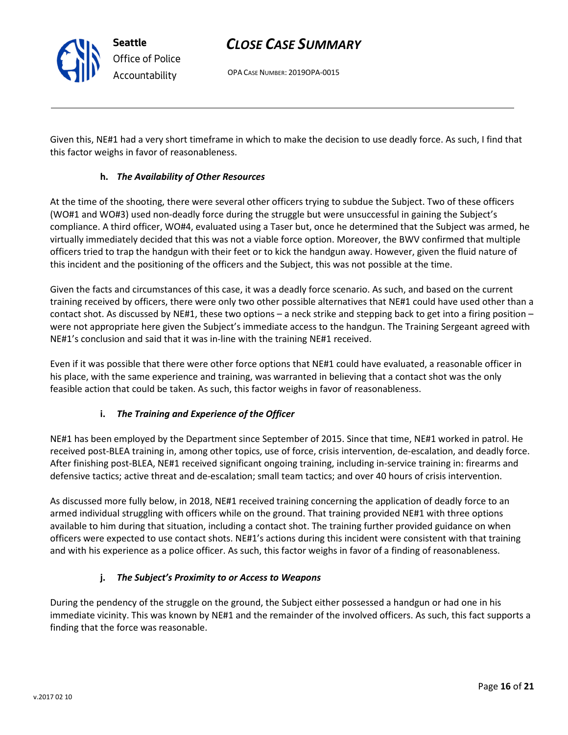OPA CASE NUMBER: 2019OPA-0015

Given this, NE#1 had a very short timeframe in which to make the decision to use deadly force. As such, I find that this factor weighs in favor of reasonableness.

### h. The Availability of Other Resources

At the time of the shooting, there were several other officers trying to subdue the Subject. Two of these officers (WO#1 and WO#3) used non-deadly force during the struggle but were unsuccessful in gaining the Subject's compliance. A third officer, WO#4, evaluated using a Taser but, once he determined that the Subject was armed, he virtually immediately decided that this was not a viable force option. Moreover, the BWV confirmed that multiple officers tried to trap the handgun with their feet or to kick the handgun away. However, given the fluid nature of this incident and the positioning of the officers and the Subject, this was not possible at the time.

Given the facts and circumstances of this case, it was a deadly force scenario. As such, and based on the current training received by officers, there were only two other possible alternatives that NE#1 could have used other than a contact shot. As discussed by NE#1, these two options – a neck strike and stepping back to get into a firing position – were not appropriate here given the Subject's immediate access to the handgun. The Training Sergeant agreed with NE#1's conclusion and said that it was in-line with the training NE#1 received.

Even if it was possible that there were other force options that NE#1 could have evaluated, a reasonable officer in his place, with the same experience and training, was warranted in believing that a contact shot was the only feasible action that could be taken. As such, this factor weighs in favor of reasonableness.

### i. The Training and Experience of the Officer

NE#1 has been employed by the Department since September of 2015. Since that time, NE#1 worked in patrol. He received post-BLEA training in, among other topics, use of force, crisis intervention, de-escalation, and deadly force. After finishing post-BLEA, NE#1 received significant ongoing training, including in-service training in: firearms and defensive tactics; active threat and de-escalation; small team tactics; and over 40 hours of crisis intervention.

As discussed more fully below, in 2018, NE#1 received training concerning the application of deadly force to an armed individual struggling with officers while on the ground. That training provided NE#1 with three options available to him during that situation, including a contact shot. The training further provided guidance on when officers were expected to use contact shots. NE#1's actions during this incident were consistent with that training and with his experience as a police officer. As such, this factor weighs in favor of a finding of reasonableness.

### j. The Subject's Proximity to or Access to Weapons

During the pendency of the struggle on the ground, the Subject either possessed a handgun or had one in his immediate vicinity. This was known by NE#1 and the remainder of the involved officers. As such, this fact supports a finding that the force was reasonable.

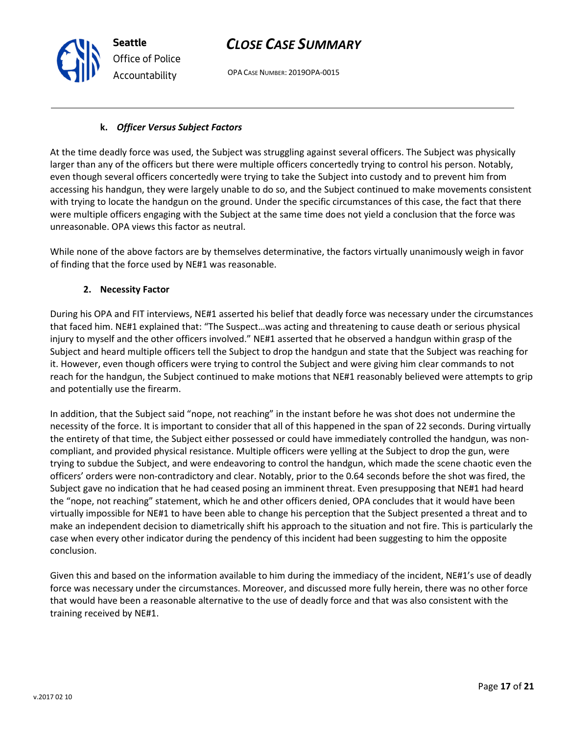OPA CASE NUMBER: 2019OPA-0015

### k. Officer Versus Subject Factors

At the time deadly force was used, the Subject was struggling against several officers. The Subject was physically larger than any of the officers but there were multiple officers concertedly trying to control his person. Notably, even though several officers concertedly were trying to take the Subject into custody and to prevent him from accessing his handgun, they were largely unable to do so, and the Subject continued to make movements consistent with trying to locate the handgun on the ground. Under the specific circumstances of this case, the fact that there were multiple officers engaging with the Subject at the same time does not yield a conclusion that the force was unreasonable. OPA views this factor as neutral.

While none of the above factors are by themselves determinative, the factors virtually unanimously weigh in favor of finding that the force used by NE#1 was reasonable.

### 2. Necessity Factor

Seattle

Office of Police Accountability

During his OPA and FIT interviews, NE#1 asserted his belief that deadly force was necessary under the circumstances that faced him. NE#1 explained that: "The Suspect…was acting and threatening to cause death or serious physical injury to myself and the other officers involved." NE#1 asserted that he observed a handgun within grasp of the Subject and heard multiple officers tell the Subject to drop the handgun and state that the Subject was reaching for it. However, even though officers were trying to control the Subject and were giving him clear commands to not reach for the handgun, the Subject continued to make motions that NE#1 reasonably believed were attempts to grip and potentially use the firearm.

In addition, that the Subject said "nope, not reaching" in the instant before he was shot does not undermine the necessity of the force. It is important to consider that all of this happened in the span of 22 seconds. During virtually the entirety of that time, the Subject either possessed or could have immediately controlled the handgun, was noncompliant, and provided physical resistance. Multiple officers were yelling at the Subject to drop the gun, were trying to subdue the Subject, and were endeavoring to control the handgun, which made the scene chaotic even the officers' orders were non-contradictory and clear. Notably, prior to the 0.64 seconds before the shot was fired, the Subject gave no indication that he had ceased posing an imminent threat. Even presupposing that NE#1 had heard the "nope, not reaching" statement, which he and other officers denied, OPA concludes that it would have been virtually impossible for NE#1 to have been able to change his perception that the Subject presented a threat and to make an independent decision to diametrically shift his approach to the situation and not fire. This is particularly the case when every other indicator during the pendency of this incident had been suggesting to him the opposite conclusion.

Given this and based on the information available to him during the immediacy of the incident, NE#1's use of deadly force was necessary under the circumstances. Moreover, and discussed more fully herein, there was no other force that would have been a reasonable alternative to the use of deadly force and that was also consistent with the training received by NE#1.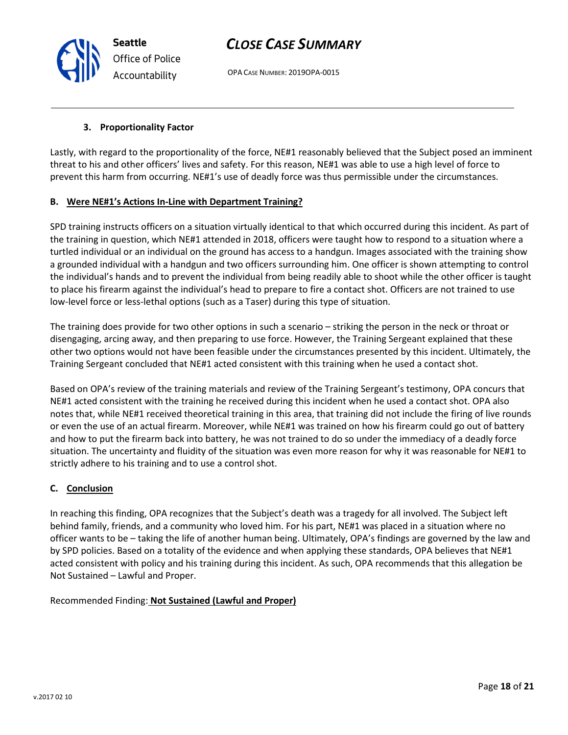OPA CASE NUMBER: 2019OPA-0015

### 3. Proportionality Factor

Lastly, with regard to the proportionality of the force, NE#1 reasonably believed that the Subject posed an imminent threat to his and other officers' lives and safety. For this reason, NE#1 was able to use a high level of force to prevent this harm from occurring. NE#1's use of deadly force was thus permissible under the circumstances.

### B. Were NE#1's Actions In-Line with Department Training?

SPD training instructs officers on a situation virtually identical to that which occurred during this incident. As part of the training in question, which NE#1 attended in 2018, officers were taught how to respond to a situation where a turtled individual or an individual on the ground has access to a handgun. Images associated with the training show a grounded individual with a handgun and two officers surrounding him. One officer is shown attempting to control the individual's hands and to prevent the individual from being readily able to shoot while the other officer is taught to place his firearm against the individual's head to prepare to fire a contact shot. Officers are not trained to use low-level force or less-lethal options (such as a Taser) during this type of situation.

The training does provide for two other options in such a scenario – striking the person in the neck or throat or disengaging, arcing away, and then preparing to use force. However, the Training Sergeant explained that these other two options would not have been feasible under the circumstances presented by this incident. Ultimately, the Training Sergeant concluded that NE#1 acted consistent with this training when he used a contact shot.

Based on OPA's review of the training materials and review of the Training Sergeant's testimony, OPA concurs that NE#1 acted consistent with the training he received during this incident when he used a contact shot. OPA also notes that, while NE#1 received theoretical training in this area, that training did not include the firing of live rounds or even the use of an actual firearm. Moreover, while NE#1 was trained on how his firearm could go out of battery and how to put the firearm back into battery, he was not trained to do so under the immediacy of a deadly force situation. The uncertainty and fluidity of the situation was even more reason for why it was reasonable for NE#1 to strictly adhere to his training and to use a control shot.

### C. Conclusion

In reaching this finding, OPA recognizes that the Subject's death was a tragedy for all involved. The Subject left behind family, friends, and a community who loved him. For his part, NE#1 was placed in a situation where no officer wants to be – taking the life of another human being. Ultimately, OPA's findings are governed by the law and by SPD policies. Based on a totality of the evidence and when applying these standards, OPA believes that NE#1 acted consistent with policy and his training during this incident. As such, OPA recommends that this allegation be Not Sustained – Lawful and Proper.

Recommended Finding: Not Sustained (Lawful and Proper)

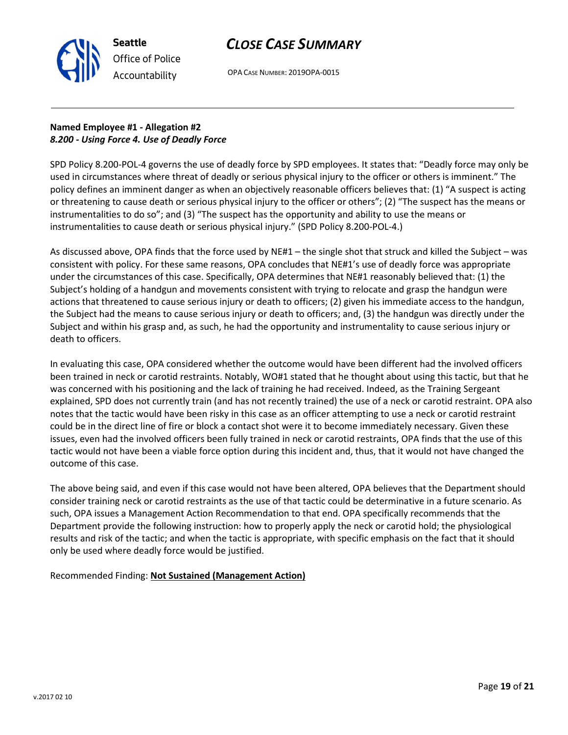

OPA CASE NUMBER: 2019OPA-0015

### Named Employee #1 - Allegation #2 8.200 - Using Force 4. Use of Deadly Force

SPD Policy 8.200-POL-4 governs the use of deadly force by SPD employees. It states that: "Deadly force may only be used in circumstances where threat of deadly or serious physical injury to the officer or others is imminent." The policy defines an imminent danger as when an objectively reasonable officers believes that: (1) "A suspect is acting or threatening to cause death or serious physical injury to the officer or others"; (2) "The suspect has the means or instrumentalities to do so"; and (3) "The suspect has the opportunity and ability to use the means or instrumentalities to cause death or serious physical injury." (SPD Policy 8.200-POL-4.)

As discussed above, OPA finds that the force used by NE#1 – the single shot that struck and killed the Subject – was consistent with policy. For these same reasons, OPA concludes that NE#1's use of deadly force was appropriate under the circumstances of this case. Specifically, OPA determines that NE#1 reasonably believed that: (1) the Subject's holding of a handgun and movements consistent with trying to relocate and grasp the handgun were actions that threatened to cause serious injury or death to officers; (2) given his immediate access to the handgun, the Subject had the means to cause serious injury or death to officers; and, (3) the handgun was directly under the Subject and within his grasp and, as such, he had the opportunity and instrumentality to cause serious injury or death to officers.

In evaluating this case, OPA considered whether the outcome would have been different had the involved officers been trained in neck or carotid restraints. Notably, WO#1 stated that he thought about using this tactic, but that he was concerned with his positioning and the lack of training he had received. Indeed, as the Training Sergeant explained, SPD does not currently train (and has not recently trained) the use of a neck or carotid restraint. OPA also notes that the tactic would have been risky in this case as an officer attempting to use a neck or carotid restraint could be in the direct line of fire or block a contact shot were it to become immediately necessary. Given these issues, even had the involved officers been fully trained in neck or carotid restraints, OPA finds that the use of this tactic would not have been a viable force option during this incident and, thus, that it would not have changed the outcome of this case.

The above being said, and even if this case would not have been altered, OPA believes that the Department should consider training neck or carotid restraints as the use of that tactic could be determinative in a future scenario. As such, OPA issues a Management Action Recommendation to that end. OPA specifically recommends that the Department provide the following instruction: how to properly apply the neck or carotid hold; the physiological results and risk of the tactic; and when the tactic is appropriate, with specific emphasis on the fact that it should only be used where deadly force would be justified.

Recommended Finding: Not Sustained (Management Action)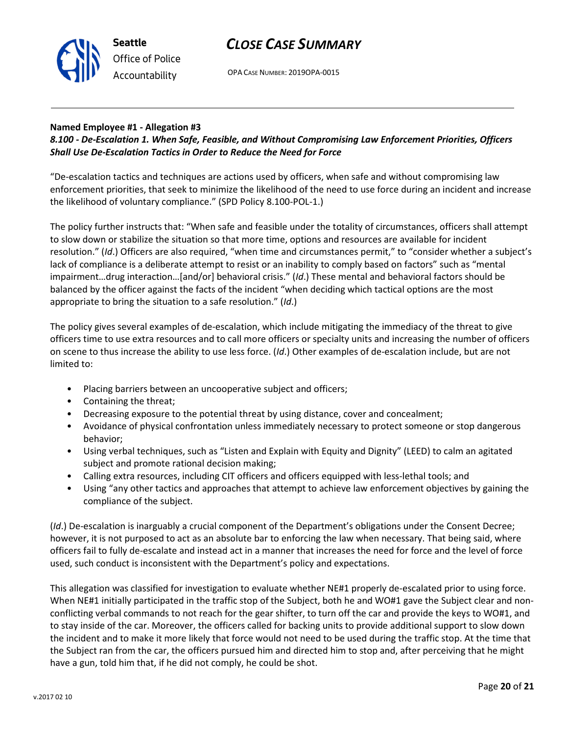

OPA CASE NUMBER: 2019OPA-0015

### Named Employee #1 - Allegation #3

### 8.100 - De-Escalation 1. When Safe, Feasible, and Without Compromising Law Enforcement Priorities, Officers Shall Use De-Escalation Tactics in Order to Reduce the Need for Force

"De-escalation tactics and techniques are actions used by officers, when safe and without compromising law enforcement priorities, that seek to minimize the likelihood of the need to use force during an incident and increase the likelihood of voluntary compliance." (SPD Policy 8.100-POL-1.)

The policy further instructs that: "When safe and feasible under the totality of circumstances, officers shall attempt to slow down or stabilize the situation so that more time, options and resources are available for incident resolution." (Id.) Officers are also required, "when time and circumstances permit," to "consider whether a subject's lack of compliance is a deliberate attempt to resist or an inability to comply based on factors" such as "mental impairment…drug interaction…[and/or] behavioral crisis." (Id.) These mental and behavioral factors should be balanced by the officer against the facts of the incident "when deciding which tactical options are the most appropriate to bring the situation to a safe resolution." (Id.)

The policy gives several examples of de-escalation, which include mitigating the immediacy of the threat to give officers time to use extra resources and to call more officers or specialty units and increasing the number of officers on scene to thus increase the ability to use less force. (Id.) Other examples of de-escalation include, but are not limited to:

- Placing barriers between an uncooperative subject and officers;
- Containing the threat;
- Decreasing exposure to the potential threat by using distance, cover and concealment;
- Avoidance of physical confrontation unless immediately necessary to protect someone or stop dangerous behavior;
- Using verbal techniques, such as "Listen and Explain with Equity and Dignity" (LEED) to calm an agitated subject and promote rational decision making;
- Calling extra resources, including CIT officers and officers equipped with less-lethal tools; and
- Using "any other tactics and approaches that attempt to achieve law enforcement objectives by gaining the compliance of the subject.

(Id.) De-escalation is inarguably a crucial component of the Department's obligations under the Consent Decree; however, it is not purposed to act as an absolute bar to enforcing the law when necessary. That being said, where officers fail to fully de-escalate and instead act in a manner that increases the need for force and the level of force used, such conduct is inconsistent with the Department's policy and expectations.

This allegation was classified for investigation to evaluate whether NE#1 properly de-escalated prior to using force. When NE#1 initially participated in the traffic stop of the Subject, both he and WO#1 gave the Subject clear and nonconflicting verbal commands to not reach for the gear shifter, to turn off the car and provide the keys to WO#1, and to stay inside of the car. Moreover, the officers called for backing units to provide additional support to slow down the incident and to make it more likely that force would not need to be used during the traffic stop. At the time that the Subject ran from the car, the officers pursued him and directed him to stop and, after perceiving that he might have a gun, told him that, if he did not comply, he could be shot.